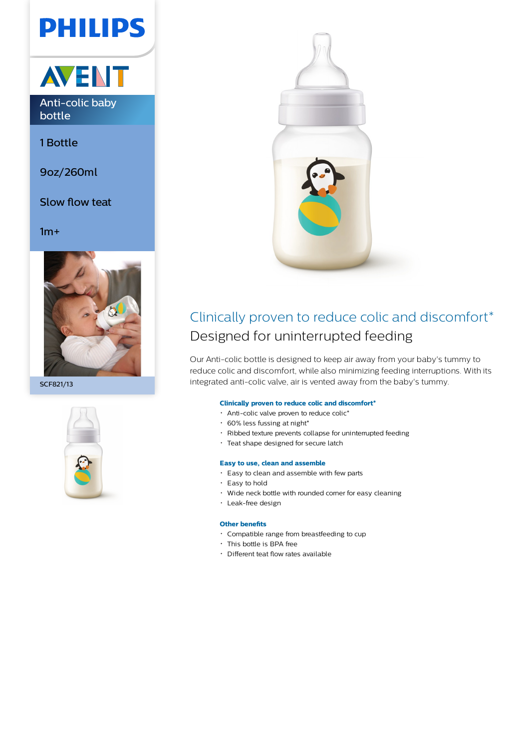# **PHILIPS**



1 Bottle

9oz/260ml

Slow flow teat

 $1m+$ 



SCF821/13





### Clinically proven to reduce colic and discomfort\* Designed for uninterrupted feeding

Our Anti-colic bottle is designed to keep air away from your baby's tummy to reduce colic and discomfort, while also minimizing feeding interruptions. With its integrated anti-colic valve, air is vented away from the baby's tummy.

#### **Clinically proven to reduce colic and discomfort\***

- Anti-colic valve proven to reduce colic\*
- $\cdot$  60% less fussing at night\*
- Ribbed texture prevents collapse for uninterrupted feeding
- Teat shape designed for secure latch

#### **Easy to use, clean and assemble**

- Easy to clean and assemble with few parts
- Easy to hold
- Wide neck bottle with rounded corner for easy cleaning
- Leak-free design

#### **Other benefits**

- Compatible range from breastfeeding to cup
- This bottle is BPA free
- Different teat flow rates available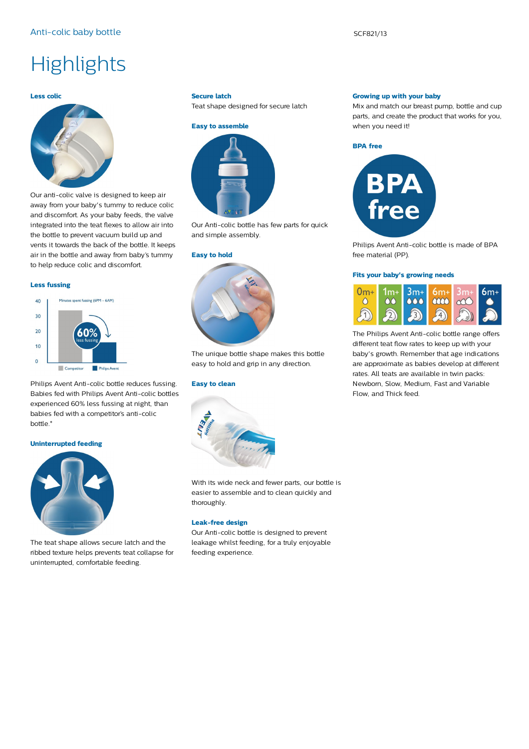## **Highlights**

#### **Less colic**



Our anti-colic valve is designed to keep air away from your baby's tummy to reduce colic and discomfort. As your baby feeds, the valve integrated into the teat flexes to allow air into the bottle to prevent vacuum build up and vents it towards the back of the bottle. It keeps air in the bottle and away from baby's tummy to help reduce colic and discomfort.

#### **Less fussing**

#### Minutes spent fussing (6PM - 6AM)  $40$  $30$  $20$  $10$  $\Omega$  $\Box$  Co **Philips Avent**

Philips Avent Anti-colic bottle reduces fussing. Babies fed with Philips Avent Anti-colic bottles experienced 60% less fussing at night, than babies fed with a competitor's anti-colic bottle.\*

#### **Uninterrupted feeding**



The teat shape allows secure latch and the ribbed texture helps prevents teat collapse for uninterrupted, comfortable feeding.

#### **Secure latch**

Teat shape designed for secure latch



Our Anti-colic bottle has few parts for quick and simple assembly.

#### **Easy to hold**



The unique bottle shape makes this bottle easy to hold and grip in any direction.

#### **Easy to clean**



With its wide neck and fewer parts, our bottle is easier to assemble and to clean quickly and thoroughly.

#### **Leak-free design**

Our Anti-colic bottle is designed to prevent leakage whilst feeding, for a truly enjoyable feeding experience.

#### **Growing up with your baby**

Mix and match our breast pump, bottle and cup parts, and create the product that works for you, when you need it!





Philips Avent Anti-colic bottle is made of BPA free material (PP).

#### **Fits your baby's growing needs**



The Philips Avent Anti-colic bottle range offers different teat flow rates to keep up with your baby's growth. Remember that age indications are approximate as babies develop at different rates. All teats are available in twin packs: Newborn, Slow, Medium, Fast and Variable Flow, and Thick feed.